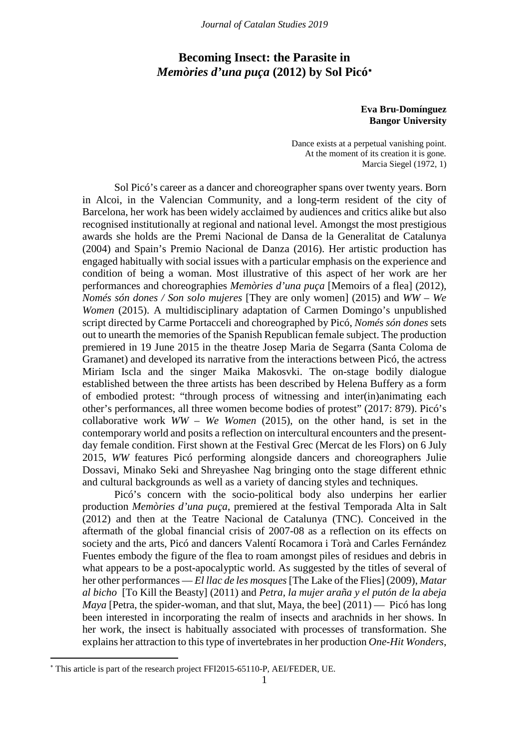# **Becoming Insect: the Parasite in**  *Memòries d'una puça* **(2012) by Sol Picó**[∗](#page-0-0)

### **Eva Bru-Domínguez Bangor University**

Dance exists at a perpetual vanishing point. At the moment of its creation it is gone*.* Marcia Siegel (1972, 1)

Sol Picó's career as a dancer and choreographer spans over twenty years. Born in Alcoi, in the Valencian Community, and a long-term resident of the city of Barcelona, her work has been widely acclaimed by audiences and critics alike but also recognised institutionally at regional and national level. Amongst the most prestigious awards she holds are the Premi Nacional de Dansa de la Generalitat de Catalunya (2004) and Spain's Premio Nacional de Danza (2016). Her artistic production has engaged habitually with social issues with a particular emphasis on the experience and condition of being a woman. Most illustrative of this aspect of her work are her performances and choreographies *Memòries d'una puça* [Memoirs of a flea] (2012), *Només són dones / Son solo mujeres* [They are only women] (2015) and *WW – We Women* (2015). A multidisciplinary adaptation of Carmen Domingo's unpublished script directed by Carme Portacceli and choreographed by Picó, *Només són dones* sets out to unearth the memories of the Spanish Republican female subject. The production premiered in 19 June 2015 in the theatre Josep Maria de Segarra (Santa Coloma de Gramanet) and developed its narrative from the interactions between Picó, the actress Miriam Iscla and the singer Maika Makosvki. The on-stage bodily dialogue established between the three artists has been described by Helena Buffery as a form of embodied protest: "through process of witnessing and inter(in)animating each other's performances, all three women become bodies of protest" (2017: 879). Picó's collaborative work *WW – We Women* (2015), on the other hand, is set in the contemporary world and posits a reflection on intercultural encounters and the presentday female condition. First shown at the Festival Grec (Mercat de les Flors) on 6 July 2015, *WW* features Picó performing alongside dancers and choreographers Julie Dossavi, Minako Seki and Shreyashee Nag bringing onto the stage different ethnic and cultural backgrounds as well as a variety of dancing styles and techniques.

Picó's concern with the socio-political body also underpins her earlier production *Memòries d'una puça*, premiered at the festival Temporada Alta in Salt (2012) and then at the Teatre Nacional de Catalunya (TNC). Conceived in the aftermath of the global financial crisis of 2007-08 as a reflection on its effects on society and the arts, Picó and dancers Valentí Rocamora i Torà and Carles Fernández Fuentes embody the figure of the flea to roam amongst piles of residues and debris in what appears to be a post-apocalyptic world. As suggested by the titles of several of her other performances — *El llac de les mosques* [The Lake of the Flies] (2009), *Matar al bicho* [To Kill the Beasty] (2011) and *Petra, la mujer araña y el putón de la abeja Maya* [Petra, the spider-woman, and that slut, Maya, the bee] (2011) — Picó has long been interested in incorporating the realm of insects and arachnids in her shows. In her work, the insect is habitually associated with processes of transformation. She explains her attraction to this type of invertebrates in her production *One-Hit Wonders*,

<span id="page-0-0"></span><sup>∗</sup> This article is part of the research project FFI2015-65110-P, AEI/FEDER, UE.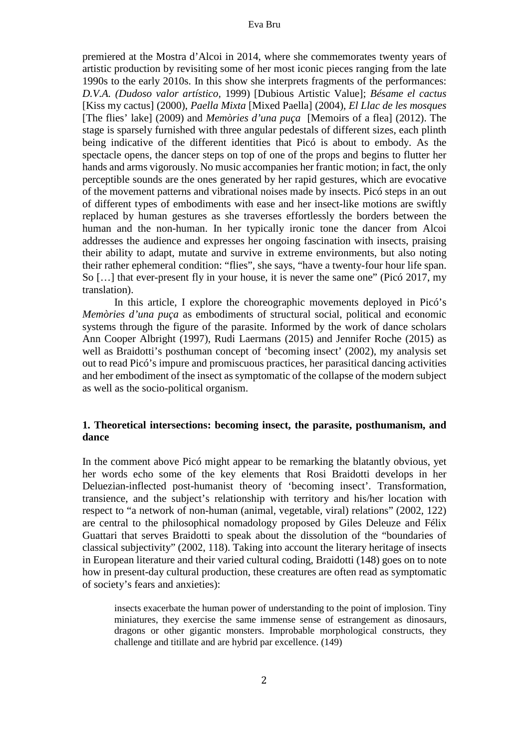premiered at the Mostra d'Alcoi in 2014, where she commemorates twenty years of artistic production by revisiting some of her most iconic pieces ranging from the late 1990s to the early 2010s. In this show she interprets fragments of the performances: *D.V.A. (Dudoso valor artístico,* 1999) [Dubious Artistic Value]; *Bésame el cactus* [Kiss my cactus] (2000), *Paella Mixta* [Mixed Paella] (2004), *El Llac de les mosques* [The flies' lake] (2009) and *Memòries d'una puça* [Memoirs of a flea] (2012). The stage is sparsely furnished with three angular pedestals of different sizes, each plinth being indicative of the different identities that Picó is about to embody. As the spectacle opens, the dancer steps on top of one of the props and begins to flutter her hands and arms vigorously. No music accompanies her frantic motion; in fact, the only perceptible sounds are the ones generated by her rapid gestures, which are evocative of the movement patterns and vibrational noises made by insects. Picó steps in an out of different types of embodiments with ease and her insect-like motions are swiftly replaced by human gestures as she traverses effortlessly the borders between the human and the non-human. In her typically ironic tone the dancer from Alcoi addresses the audience and expresses her ongoing fascination with insects, praising their ability to adapt, mutate and survive in extreme environments, but also noting their rather ephemeral condition: "flies", she says, "have a twenty-four hour life span. So […] that ever-present fly in your house, it is never the same one" (Picó 2017, my translation).

In this article, I explore the choreographic movements deployed in Picó's *Memòries d'una puça* as embodiments of structural social, political and economic systems through the figure of the parasite. Informed by the work of dance scholars Ann Cooper Albright (1997), Rudi Laermans (2015) and Jennifer Roche (2015) as well as Braidotti's posthuman concept of 'becoming insect' (2002), my analysis set out to read Picó's impure and promiscuous practices, her parasitical dancing activities and her embodiment of the insect as symptomatic of the collapse of the modern subject as well as the socio-political organism.

# **1. Theoretical intersections: becoming insect, the parasite, posthumanism, and dance**

In the comment above Picó might appear to be remarking the blatantly obvious, yet her words echo some of the key elements that Rosi Braidotti develops in her Deluezian-inflected post-humanist theory of 'becoming insect'. Transformation, transience, and the subject's relationship with territory and his/her location with respect to "a network of non-human (animal, vegetable, viral) relations" (2002, 122) are central to the philosophical nomadology proposed by Giles Deleuze and Félix Guattari that serves Braidotti to speak about the dissolution of the "boundaries of classical subjectivity" (2002, 118). Taking into account the literary heritage of insects in European literature and their varied cultural coding, Braidotti (148) goes on to note how in present-day cultural production, these creatures are often read as symptomatic of society's fears and anxieties):

insects exacerbate the human power of understanding to the point of implosion. Tiny miniatures, they exercise the same immense sense of estrangement as dinosaurs, dragons or other gigantic monsters. Improbable morphological constructs, they challenge and titillate and are hybrid par excellence. (149)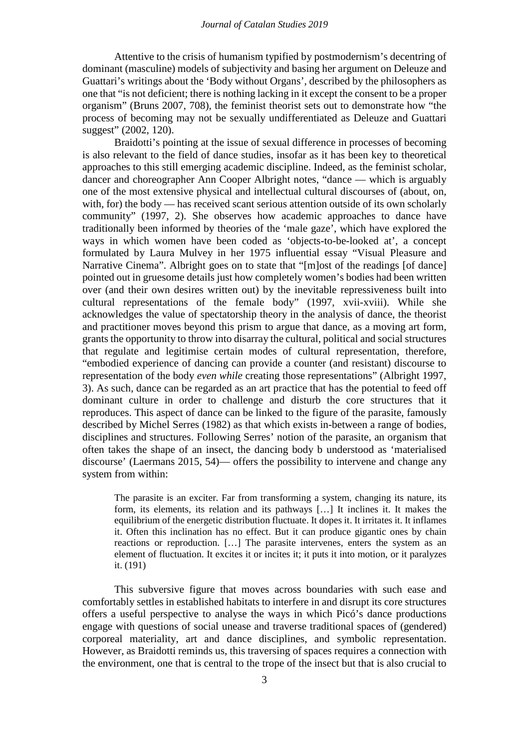Attentive to the crisis of humanism typified by postmodernism's decentring of dominant (masculine) models of subjectivity and basing her argument on Deleuze and Guattari's writings about the 'Body without Organs', described by the philosophers as one that "is not deficient; there is nothing lacking in it except the consent to be a proper organism" (Bruns 2007, 708), the feminist theorist sets out to demonstrate how "the process of becoming may not be sexually undifferentiated as Deleuze and Guattari suggest" (2002, 120).

Braidotti's pointing at the issue of sexual difference in processes of becoming is also relevant to the field of dance studies, insofar as it has been key to theoretical approaches to this still emerging academic discipline. Indeed, as the feminist scholar, dancer and choreographer Ann Cooper Albright notes, "dance — which is arguably one of the most extensive physical and intellectual cultural discourses of (about, on, with, for) the body — has received scant serious attention outside of its own scholarly community" (1997, 2). She observes how academic approaches to dance have traditionally been informed by theories of the 'male gaze', which have explored the ways in which women have been coded as 'objects-to-be-looked at', a concept formulated by Laura Mulvey in her 1975 influential essay "Visual Pleasure and Narrative Cinema". Albright goes on to state that "[m]ost of the readings [of dance] pointed out in gruesome details just how completely women's bodies had been written over (and their own desires written out) by the inevitable repressiveness built into cultural representations of the female body" (1997, xvii-xviii). While she acknowledges the value of spectatorship theory in the analysis of dance, the theorist and practitioner moves beyond this prism to argue that dance, as a moving art form, grants the opportunity to throw into disarray the cultural, political and social structures that regulate and legitimise certain modes of cultural representation, therefore, "embodied experience of dancing can provide a counter (and resistant) discourse to representation of the body *even while* creating those representations" (Albright 1997, 3). As such, dance can be regarded as an art practice that has the potential to feed off dominant culture in order to challenge and disturb the core structures that it reproduces. This aspect of dance can be linked to the figure of the parasite, famously described by Michel Serres (1982) as that which exists in-between a range of bodies, disciplines and structures. Following Serres' notion of the parasite, an organism that often takes the shape of an insect, the dancing body b understood as 'materialised discourse' (Laermans 2015, 54)— offers the possibility to intervene and change any system from within:

The parasite is an exciter. Far from transforming a system, changing its nature, its form, its elements, its relation and its pathways […] It inclines it. It makes the equilibrium of the energetic distribution fluctuate. It dopes it. It irritates it. It inflames it. Often this inclination has no effect. But it can produce gigantic ones by chain reactions or reproduction. […] The parasite intervenes, enters the system as an element of fluctuation. It excites it or incites it; it puts it into motion, or it paralyzes it. (191)

This subversive figure that moves across boundaries with such ease and comfortably settles in established habitats to interfere in and disrupt its core structures offers a useful perspective to analyse the ways in which Picó's dance productions engage with questions of social unease and traverse traditional spaces of (gendered) corporeal materiality, art and dance disciplines, and symbolic representation. However, as Braidotti reminds us, this traversing of spaces requires a connection with the environment, one that is central to the trope of the insect but that is also crucial to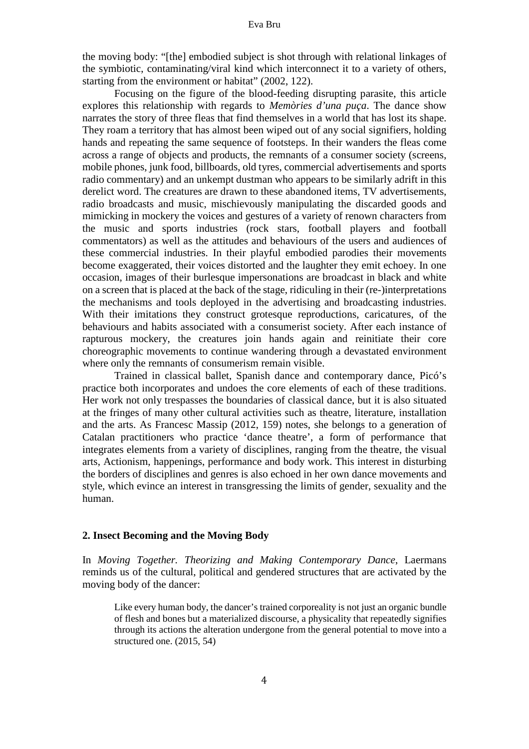the moving body: "[the] embodied subject is shot through with relational linkages of the symbiotic, contaminating/viral kind which interconnect it to a variety of others, starting from the environment or habitat" (2002, 122).

Focusing on the figure of the blood-feeding disrupting parasite, this article explores this relationship with regards to *Memòries d'una puça*. The dance show narrates the story of three fleas that find themselves in a world that has lost its shape. They roam a territory that has almost been wiped out of any social signifiers, holding hands and repeating the same sequence of footsteps. In their wanders the fleas come across a range of objects and products, the remnants of a consumer society (screens, mobile phones, junk food, billboards, old tyres, commercial advertisements and sports radio commentary) and an unkempt dustman who appears to be similarly adrift in this derelict word. The creatures are drawn to these abandoned items, TV advertisements, radio broadcasts and music, mischievously manipulating the discarded goods and mimicking in mockery the voices and gestures of a variety of renown characters from the music and sports industries (rock stars, football players and football commentators) as well as the attitudes and behaviours of the users and audiences of these commercial industries. In their playful embodied parodies their movements become exaggerated, their voices distorted and the laughter they emit echoey. In one occasion, images of their burlesque impersonations are broadcast in black and white on a screen that is placed at the back of the stage, ridiculing in their (re-)interpretations the mechanisms and tools deployed in the advertising and broadcasting industries. With their imitations they construct grotesque reproductions, caricatures, of the behaviours and habits associated with a consumerist society. After each instance of rapturous mockery, the creatures join hands again and reinitiate their core choreographic movements to continue wandering through a devastated environment where only the remnants of consumerism remain visible.

Trained in classical ballet, Spanish dance and contemporary dance, Picó's practice both incorporates and undoes the core elements of each of these traditions. Her work not only trespasses the boundaries of classical dance, but it is also situated at the fringes of many other cultural activities such as theatre, literature, installation and the arts. As Francesc Massip (2012, 159) notes, she belongs to a generation of Catalan practitioners who practice 'dance theatre', a form of performance that integrates elements from a variety of disciplines, ranging from the theatre, the visual arts, Actionism, happenings, performance and body work. This interest in disturbing the borders of disciplines and genres is also echoed in her own dance movements and style, which evince an interest in transgressing the limits of gender, sexuality and the human.

## **2. Insect Becoming and the Moving Body**

In *Moving Together. Theorizing and Making Contemporary Dance*, Laermans reminds us of the cultural, political and gendered structures that are activated by the moving body of the dancer:

Like every human body, the dancer's trained corporeality is not just an organic bundle of flesh and bones but a materialized discourse, a physicality that repeatedly signifies through its actions the alteration undergone from the general potential to move into a structured one. (2015, 54)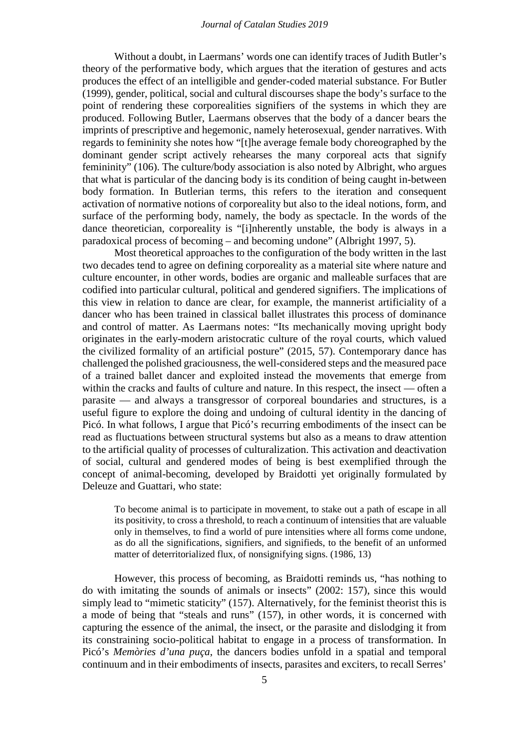#### *Journal of Catalan Studies 2019*

Without a doubt, in Laermans' words one can identify traces of Judith Butler's theory of the performative body, which argues that the iteration of gestures and acts produces the effect of an intelligible and gender-coded material substance. For Butler (1999), gender, political, social and cultural discourses shape the body's surface to the point of rendering these corporealities signifiers of the systems in which they are produced. Following Butler, Laermans observes that the body of a dancer bears the imprints of prescriptive and hegemonic, namely heterosexual, gender narratives. With regards to femininity she notes how "[t]he average female body choreographed by the dominant gender script actively rehearses the many corporeal acts that signify femininity" (106). The culture/body association is also noted by Albright, who argues that what is particular of the dancing body is its condition of being caught in-between body formation. In Butlerian terms, this refers to the iteration and consequent activation of normative notions of corporeality but also to the ideal notions, form, and surface of the performing body, namely, the body as spectacle. In the words of the dance theoretician, corporeality is "[i]nherently unstable, the body is always in a paradoxical process of becoming – and becoming undone" (Albright 1997, 5).

Most theoretical approaches to the configuration of the body written in the last two decades tend to agree on defining corporeality as a material site where nature and culture encounter, in other words, bodies are organic and malleable surfaces that are codified into particular cultural, political and gendered signifiers. The implications of this view in relation to dance are clear, for example, the mannerist artificiality of a dancer who has been trained in classical ballet illustrates this process of dominance and control of matter. As Laermans notes: "Its mechanically moving upright body originates in the early-modern aristocratic culture of the royal courts, which valued the civilized formality of an artificial posture" (2015, 57). Contemporary dance has challenged the polished graciousness, the well-considered steps and the measured pace of a trained ballet dancer and exploited instead the movements that emerge from within the cracks and faults of culture and nature. In this respect, the insect — often a parasite — and always a transgressor of corporeal boundaries and structures, is a useful figure to explore the doing and undoing of cultural identity in the dancing of Picó. In what follows, I argue that Picó's recurring embodiments of the insect can be read as fluctuations between structural systems but also as a means to draw attention to the artificial quality of processes of culturalization. This activation and deactivation of social, cultural and gendered modes of being is best exemplified through the concept of animal-becoming, developed by Braidotti yet originally formulated by Deleuze and Guattari, who state:

To become animal is to participate in movement, to stake out a path of escape in all its positivity, to cross a threshold, to reach a continuum of intensities that are valuable only in themselves, to find a world of pure intensities where all forms come undone, as do all the significations, signifiers, and signifieds, to the benefit of an unformed matter of deterritorialized flux, of nonsignifying signs. (1986, 13)

However, this process of becoming, as Braidotti reminds us, "has nothing to do with imitating the sounds of animals or insects" (2002: 157), since this would simply lead to "mimetic staticity" (157). Alternatively, for the feminist theorist this is a mode of being that "steals and runs" (157), in other words, it is concerned with capturing the essence of the animal, the insect, or the parasite and dislodging it from its constraining socio-political habitat to engage in a process of transformation. In Picó's *Memòries d'una puça*, the dancers bodies unfold in a spatial and temporal continuum and in their embodiments of insects, parasites and exciters, to recall Serres'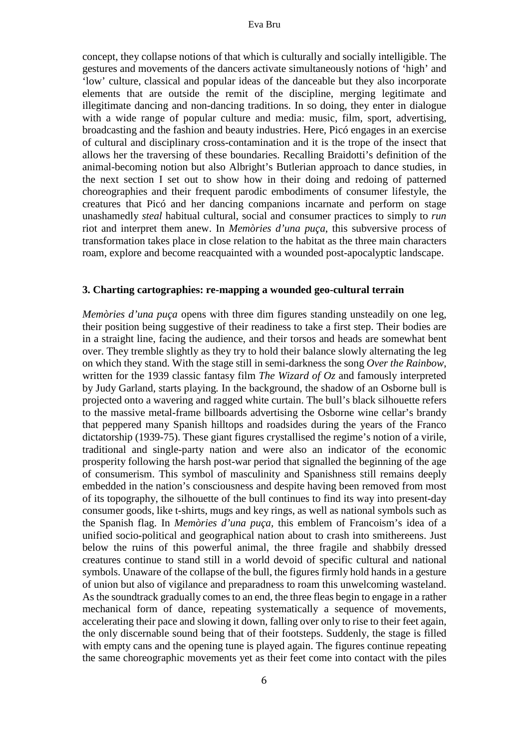concept, they collapse notions of that which is culturally and socially intelligible. The gestures and movements of the dancers activate simultaneously notions of 'high' and 'low' culture, classical and popular ideas of the danceable but they also incorporate elements that are outside the remit of the discipline, merging legitimate and illegitimate dancing and non-dancing traditions. In so doing, they enter in dialogue with a wide range of popular culture and media: music, film, sport, advertising, broadcasting and the fashion and beauty industries. Here, Picó engages in an exercise of cultural and disciplinary cross-contamination and it is the trope of the insect that allows her the traversing of these boundaries. Recalling Braidotti's definition of the animal-becoming notion but also Albright's Butlerian approach to dance studies, in the next section I set out to show how in their doing and redoing of patterned choreographies and their frequent parodic embodiments of consumer lifestyle, the creatures that Picó and her dancing companions incarnate and perform on stage unashamedly *steal* habitual cultural, social and consumer practices to simply to *run* riot and interpret them anew. In *Memòries d'una puça*, this subversive process of transformation takes place in close relation to the habitat as the three main characters roam, explore and become reacquainted with a wounded post-apocalyptic landscape.

### **3. Charting cartographies: re-mapping a wounded geo-cultural terrain**

*Memòries d'una puça* opens with three dim figures standing unsteadily on one leg, their position being suggestive of their readiness to take a first step. Their bodies are in a straight line, facing the audience, and their torsos and heads are somewhat bent over. They tremble slightly as they try to hold their balance slowly alternating the leg on which they stand. With the stage still in semi-darkness the song *Over the Rainbow*, written for the 1939 classic fantasy film *The Wizard of Oz* and famously interpreted by Judy Garland, starts playing*.* In the background, the shadow of an Osborne bull is projected onto a wavering and ragged white curtain. The bull's black silhouette refers to the massive metal-frame billboards advertising the Osborne wine cellar's brandy that peppered many Spanish hilltops and roadsides during the years of the Franco dictatorship (1939-75). These giant figures crystallised the regime's notion of a virile, traditional and single-party nation and were also an indicator of the economic prosperity following the harsh post-war period that signalled the beginning of the age of consumerism. This symbol of masculinity and Spanishness still remains deeply embedded in the nation's consciousness and despite having been removed from most of its topography, the silhouette of the bull continues to find its way into present-day consumer goods, like t-shirts, mugs and key rings, as well as national symbols such as the Spanish flag. In *Memòries d'una puça,* this emblem of Francoism's idea of a unified socio-political and geographical nation about to crash into smithereens. Just below the ruins of this powerful animal, the three fragile and shabbily dressed creatures continue to stand still in a world devoid of specific cultural and national symbols. Unaware of the collapse of the bull, the figures firmly hold hands in a gesture of union but also of vigilance and preparadness to roam this unwelcoming wasteland. As the soundtrack gradually comes to an end, the three fleas begin to engage in a rather mechanical form of dance, repeating systematically a sequence of movements, accelerating their pace and slowing it down, falling over only to rise to their feet again, the only discernable sound being that of their footsteps. Suddenly, the stage is filled with empty cans and the opening tune is played again. The figures continue repeating the same choreographic movements yet as their feet come into contact with the piles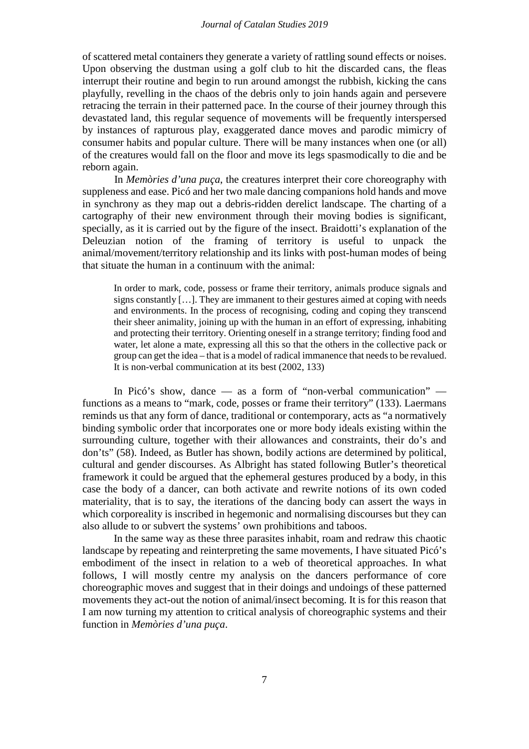#### *Journal of Catalan Studies 2019*

of scattered metal containers they generate a variety of rattling sound effects or noises. Upon observing the dustman using a golf club to hit the discarded cans, the fleas interrupt their routine and begin to run around amongst the rubbish, kicking the cans playfully, revelling in the chaos of the debris only to join hands again and persevere retracing the terrain in their patterned pace. In the course of their journey through this devastated land, this regular sequence of movements will be frequently interspersed by instances of rapturous play, exaggerated dance moves and parodic mimicry of consumer habits and popular culture. There will be many instances when one (or all) of the creatures would fall on the floor and move its legs spasmodically to die and be reborn again.

In *Memòries d'una puça*, the creatures interpret their core choreography with suppleness and ease. Picó and her two male dancing companions hold hands and move in synchrony as they map out a debris-ridden derelict landscape. The charting of a cartography of their new environment through their moving bodies is significant, specially, as it is carried out by the figure of the insect. Braidotti's explanation of the Deleuzian notion of the framing of territory is useful to unpack the animal/movement/territory relationship and its links with post-human modes of being that situate the human in a continuum with the animal:

In order to mark, code, possess or frame their territory, animals produce signals and signs constantly […]. They are immanent to their gestures aimed at coping with needs and environments. In the process of recognising, coding and coping they transcend their sheer animality, joining up with the human in an effort of expressing, inhabiting and protecting their territory. Orienting oneself in a strange territory; finding food and water, let alone a mate, expressing all this so that the others in the collective pack or group can get the idea – that is a model of radical immanence that needs to be revalued. It is non-verbal communication at its best (2002, 133)

In Picó's show, dance — as a form of "non-verbal communication" functions as a means to "mark, code, posses or frame their territory" (133). Laermans reminds us that any form of dance, traditional or contemporary, acts as "a normatively binding symbolic order that incorporates one or more body ideals existing within the surrounding culture, together with their allowances and constraints, their do's and don'ts" (58). Indeed, as Butler has shown, bodily actions are determined by political, cultural and gender discourses. As Albright has stated following Butler's theoretical framework it could be argued that the ephemeral gestures produced by a body, in this case the body of a dancer, can both activate and rewrite notions of its own coded materiality, that is to say, the iterations of the dancing body can assert the ways in which corporeality is inscribed in hegemonic and normalising discourses but they can also allude to or subvert the systems' own prohibitions and taboos.

In the same way as these three parasites inhabit, roam and redraw this chaotic landscape by repeating and reinterpreting the same movements, I have situated Picó's embodiment of the insect in relation to a web of theoretical approaches. In what follows, I will mostly centre my analysis on the dancers performance of core choreographic moves and suggest that in their doings and undoings of these patterned movements they act-out the notion of animal/insect becoming. It is for this reason that I am now turning my attention to critical analysis of choreographic systems and their function in *Memòries d'una puça*.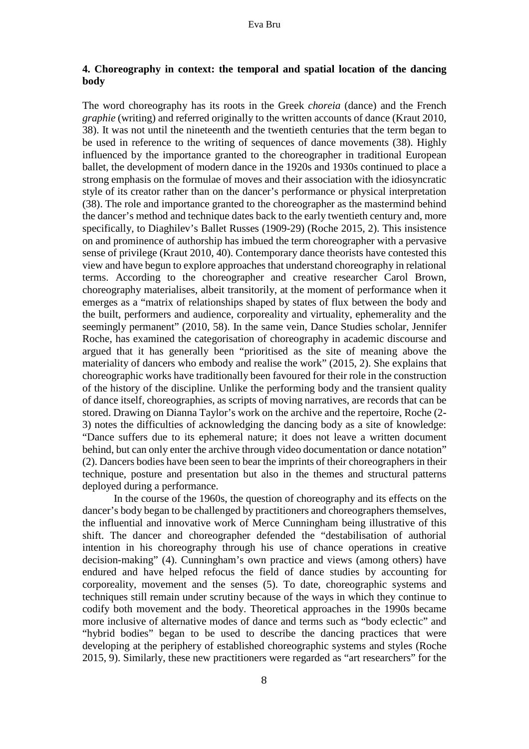# **4. Choreography in context: the temporal and spatial location of the dancing body**

The word choreography has its roots in the Greek *choreia* (dance) and the French *graphie* (writing) and referred originally to the written accounts of dance (Kraut 2010, 38). It was not until the nineteenth and the twentieth centuries that the term began to be used in reference to the writing of sequences of dance movements (38). Highly influenced by the importance granted to the choreographer in traditional European ballet, the development of modern dance in the 1920s and 1930s continued to place a strong emphasis on the formulae of moves and their association with the idiosyncratic style of its creator rather than on the dancer's performance or physical interpretation (38). The role and importance granted to the choreographer as the mastermind behind the dancer's method and technique dates back to the early twentieth century and, more specifically, to Diaghilev's Ballet Russes (1909-29) (Roche 2015, 2). This insistence on and prominence of authorship has imbued the term choreographer with a pervasive sense of privilege (Kraut 2010, 40). Contemporary dance theorists have contested this view and have begun to explore approaches that understand choreography in relational terms. According to the choreographer and creative researcher Carol Brown, choreography materialises, albeit transitorily, at the moment of performance when it emerges as a "matrix of relationships shaped by states of flux between the body and the built, performers and audience, corporeality and virtuality, ephemerality and the seemingly permanent" (2010, 58). In the same vein, Dance Studies scholar, Jennifer Roche, has examined the categorisation of choreography in academic discourse and argued that it has generally been "prioritised as the site of meaning above the materiality of dancers who embody and realise the work" (2015, 2). She explains that choreographic works have traditionally been favoured for their role in the construction of the history of the discipline. Unlike the performing body and the transient quality of dance itself, choreographies, as scripts of moving narratives, are records that can be stored. Drawing on Dianna Taylor's work on the archive and the repertoire, Roche (2- 3) notes the difficulties of acknowledging the dancing body as a site of knowledge: "Dance suffers due to its ephemeral nature; it does not leave a written document behind, but can only enter the archive through video documentation or dance notation" (2). Dancers bodies have been seen to bear the imprints of their choreographers in their technique, posture and presentation but also in the themes and structural patterns deployed during a performance.

In the course of the 1960s, the question of choreography and its effects on the dancer's body began to be challenged by practitioners and choreographers themselves, the influential and innovative work of Merce Cunningham being illustrative of this shift. The dancer and choreographer defended the "destabilisation of authorial intention in his choreography through his use of chance operations in creative decision-making" (4). Cunningham's own practice and views (among others) have endured and have helped refocus the field of dance studies by accounting for corporeality, movement and the senses (5). To date, choreographic systems and techniques still remain under scrutiny because of the ways in which they continue to codify both movement and the body. Theoretical approaches in the 1990s became more inclusive of alternative modes of dance and terms such as "body eclectic" and "hybrid bodies" began to be used to describe the dancing practices that were developing at the periphery of established choreographic systems and styles (Roche 2015, 9). Similarly, these new practitioners were regarded as "art researchers" for the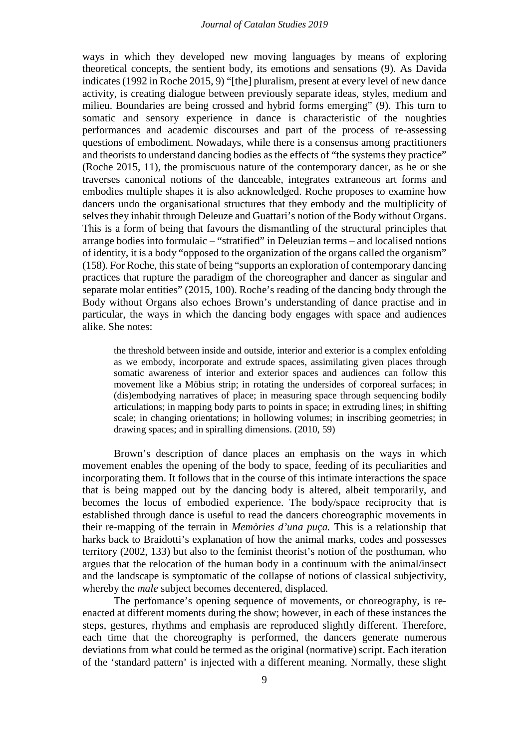#### *Journal of Catalan Studies 2019*

ways in which they developed new moving languages by means of exploring theoretical concepts, the sentient body, its emotions and sensations (9). As Davida indicates (1992 in Roche 2015, 9) "[the] pluralism, present at every level of new dance activity, is creating dialogue between previously separate ideas, styles, medium and milieu. Boundaries are being crossed and hybrid forms emerging" (9). This turn to somatic and sensory experience in dance is characteristic of the noughties performances and academic discourses and part of the process of re-assessing questions of embodiment. Nowadays, while there is a consensus among practitioners and theorists to understand dancing bodies as the effects of "the systems they practice" (Roche 2015, 11), the promiscuous nature of the contemporary dancer, as he or she traverses canonical notions of the danceable, integrates extraneous art forms and embodies multiple shapes it is also acknowledged. Roche proposes to examine how dancers undo the organisational structures that they embody and the multiplicity of selves they inhabit through Deleuze and Guattari's notion of the Body without Organs. This is a form of being that favours the dismantling of the structural principles that arrange bodies into formulaic – "stratified" in Deleuzian terms – and localised notions of identity, it is a body "opposed to the organization of the organs called the organism" (158). For Roche, this state of being "supports an exploration of contemporary dancing practices that rupture the paradigm of the choreographer and dancer as singular and separate molar entities" (2015, 100). Roche's reading of the dancing body through the Body without Organs also echoes Brown's understanding of dance practise and in particular, the ways in which the dancing body engages with space and audiences alike. She notes:

the threshold between inside and outside, interior and exterior is a complex enfolding as we embody, incorporate and extrude spaces, assimilating given places through somatic awareness of interior and exterior spaces and audiences can follow this movement like a Möbius strip; in rotating the undersides of corporeal surfaces; in (dis)embodying narratives of place; in measuring space through sequencing bodily articulations; in mapping body parts to points in space; in extruding lines; in shifting scale; in changing orientations; in hollowing volumes; in inscribing geometries; in drawing spaces; and in spiralling dimensions. (2010, 59)

Brown's description of dance places an emphasis on the ways in which movement enables the opening of the body to space, feeding of its peculiarities and incorporating them. It follows that in the course of this intimate interactions the space that is being mapped out by the dancing body is altered, albeit temporarily, and becomes the locus of embodied experience. The body/space reciprocity that is established through dance is useful to read the dancers choreographic movements in their re-mapping of the terrain in *Memòries d'una puça.* This is a relationship that harks back to Braidotti's explanation of how the animal marks, codes and possesses territory (2002, 133) but also to the feminist theorist's notion of the posthuman, who argues that the relocation of the human body in a continuum with the animal/insect and the landscape is symptomatic of the collapse of notions of classical subjectivity, whereby the *male* subject becomes decentered, displaced.

The perfomance's opening sequence of movements, or choreography, is reenacted at different moments during the show; however, in each of these instances the steps, gestures, rhythms and emphasis are reproduced slightly different. Therefore, each time that the choreography is performed, the dancers generate numerous deviations from what could be termed as the original (normative) script. Each iteration of the 'standard pattern' is injected with a different meaning. Normally, these slight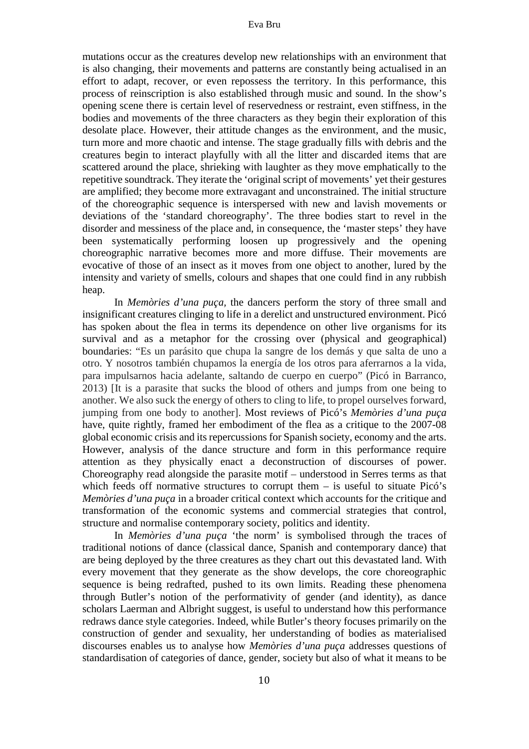mutations occur as the creatures develop new relationships with an environment that is also changing, their movements and patterns are constantly being actualised in an effort to adapt, recover, or even repossess the territory. In this performance, this process of reinscription is also established through music and sound. In the show's opening scene there is certain level of reservedness or restraint, even stiffness, in the bodies and movements of the three characters as they begin their exploration of this desolate place. However, their attitude changes as the environment, and the music, turn more and more chaotic and intense. The stage gradually fills with debris and the creatures begin to interact playfully with all the litter and discarded items that are scattered around the place, shrieking with laughter as they move emphatically to the repetitive soundtrack. They iterate the 'original script of movements' yet their gestures are amplified; they become more extravagant and unconstrained. The initial structure of the choreographic sequence is interspersed with new and lavish movements or deviations of the 'standard choreography'. The three bodies start to revel in the disorder and messiness of the place and, in consequence, the 'master steps' they have been systematically performing loosen up progressively and the opening choreographic narrative becomes more and more diffuse. Their movements are evocative of those of an insect as it moves from one object to another, lured by the intensity and variety of smells, colours and shapes that one could find in any rubbish heap.

In *Memòries d'una puça,* the dancers perform the story of three small and insignificant creatures clinging to life in a derelict and unstructured environment. Picó has spoken about the flea in terms its dependence on other live organisms for its survival and as a metaphor for the crossing over (physical and geographical) boundaries: "Es un parásito que chupa la sangre de los demás y que salta de uno a otro. Y nosotros también chupamos la energía de los otros para aferrarnos a la vida, para impulsarnos hacia adelante, saltando de cuerpo en cuerpo" (Picó in Barranco, 2013) [It is a parasite that sucks the blood of others and jumps from one being to another. We also suck the energy of others to cling to life, to propel ourselves forward, jumping from one body to another]. Most reviews of Picó's *Memòries d'una puça* have, quite rightly, framed her embodiment of the flea as a critique to the 2007-08 global economic crisis and its repercussions for Spanish society, economy and the arts. However, analysis of the dance structure and form in this performance require attention as they physically enact a deconstruction of discourses of power. Choreography read alongside the parasite motif – understood in Serres terms as that which feeds off normative structures to corrupt them  $-$  is useful to situate Picó's *Memòries d'una puça* in a broader critical context which accounts for the critique and transformation of the economic systems and commercial strategies that control, structure and normalise contemporary society, politics and identity.

In *Memòries d'una puça* 'the norm' is symbolised through the traces of traditional notions of dance (classical dance, Spanish and contemporary dance) that are being deployed by the three creatures as they chart out this devastated land. With every movement that they generate as the show develops, the core choreographic sequence is being redrafted, pushed to its own limits. Reading these phenomena through Butler's notion of the performativity of gender (and identity), as dance scholars Laerman and Albright suggest, is useful to understand how this performance redraws dance style categories. Indeed, while Butler's theory focuses primarily on the construction of gender and sexuality, her understanding of bodies as materialised discourses enables us to analyse how *Memòries d'una puça* addresses questions of standardisation of categories of dance, gender, society but also of what it means to be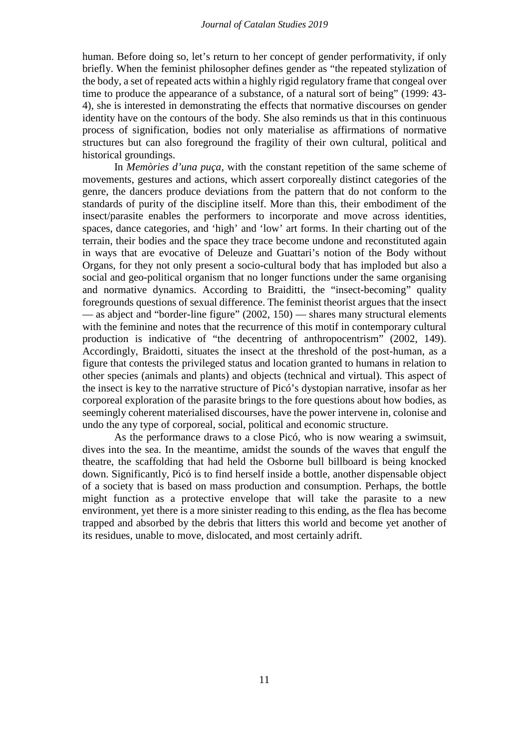human. Before doing so, let's return to her concept of gender performativity, if only briefly. When the feminist philosopher defines gender as "the repeated stylization of the body, a set of repeated acts within a highly rigid regulatory frame that congeal over time to produce the appearance of a substance, of a natural sort of being" (1999: 43- 4), she is interested in demonstrating the effects that normative discourses on gender identity have on the contours of the body. She also reminds us that in this continuous process of signification, bodies not only materialise as affirmations of normative structures but can also foreground the fragility of their own cultural, political and historical groundings.

In *Memòries d'una puça*, with the constant repetition of the same scheme of movements, gestures and actions, which assert corporeally distinct categories of the genre, the dancers produce deviations from the pattern that do not conform to the standards of purity of the discipline itself. More than this, their embodiment of the insect/parasite enables the performers to incorporate and move across identities, spaces, dance categories, and 'high' and 'low' art forms. In their charting out of the terrain, their bodies and the space they trace become undone and reconstituted again in ways that are evocative of Deleuze and Guattari's notion of the Body without Organs, for they not only present a socio-cultural body that has imploded but also a social and geo-political organism that no longer functions under the same organising and normative dynamics. According to Braiditti, the "insect-becoming" quality foregrounds questions of sexual difference. The feminist theorist argues that the insect — as abject and "border-line figure" (2002, 150) — shares many structural elements with the feminine and notes that the recurrence of this motif in contemporary cultural production is indicative of "the decentring of anthropocentrism" (2002, 149). Accordingly, Braidotti, situates the insect at the threshold of the post-human, as a figure that contests the privileged status and location granted to humans in relation to other species (animals and plants) and objects (technical and virtual). This aspect of the insect is key to the narrative structure of Picó's dystopian narrative, insofar as her corporeal exploration of the parasite brings to the fore questions about how bodies, as seemingly coherent materialised discourses, have the power intervene in, colonise and undo the any type of corporeal, social, political and economic structure.

As the performance draws to a close Picó, who is now wearing a swimsuit, dives into the sea. In the meantime, amidst the sounds of the waves that engulf the theatre, the scaffolding that had held the Osborne bull billboard is being knocked down. Significantly, Picó is to find herself inside a bottle, another dispensable object of a society that is based on mass production and consumption. Perhaps, the bottle might function as a protective envelope that will take the parasite to a new environment, yet there is a more sinister reading to this ending, as the flea has become trapped and absorbed by the debris that litters this world and become yet another of its residues, unable to move, dislocated, and most certainly adrift.